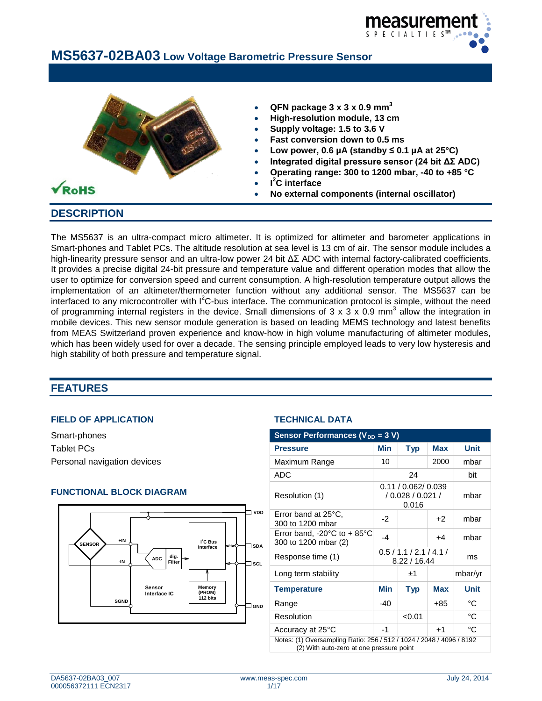



## **DESCRIPTION**

The MS5637 is an ultra-compact micro altimeter. It is optimized for altimeter and barometer applications in Smart-phones and Tablet PCs. The altitude resolution at sea level is 13 cm of air. The sensor module includes a high-linearity pressure sensor and an ultra-low power 24 bit ΔΣ ADC with internal factory-calibrated coefficients. It provides a precise digital 24-bit pressure and temperature value and different operation modes that allow the user to optimize for conversion speed and current consumption. A high-resolution temperature output allows the implementation of an altimeter/thermometer function without any additional sensor. The MS5637 can be interfaced to any microcontroller with  $I^2C$ -bus interface. The communication protocol is simple, without the need of programming internal registers in the device. Small dimensions of  $3 \times 3 \times 0.9$  mm<sup>3</sup> allow the integration in mobile devices. This new sensor module generation is based on leading MEMS technology and latest benefits from MEAS Switzerland proven experience and know-how in high volume manufacturing of altimeter modules, which has been widely used for over a decade. The sensing principle employed leads to very low hysteresis and high stability of both pressure and temperature signal.

## **FEATURES**

#### **FIELD OF APPLICATION TECHNICAL DATA**

#### **FUNCTIONAL BLOCK DIAGRAM**



| Smart-phones                                                              | Sensor Performances ( $V_{DD}$ = 3 V)                                                                            |                                  |                                                   |            |              |
|---------------------------------------------------------------------------|------------------------------------------------------------------------------------------------------------------|----------------------------------|---------------------------------------------------|------------|--------------|
| Tablet PCs                                                                | <b>Pressure</b>                                                                                                  | <b>Min</b>                       | <b>Typ</b>                                        | <b>Max</b> | <b>Unit</b>  |
| Personal navigation devices                                               | Maximum Range                                                                                                    | 10                               |                                                   | 2000       | mbar         |
|                                                                           | ADC                                                                                                              |                                  | 24                                                |            | bit          |
| <b>FUNCTIONAL BLOCK DIAGRAM</b>                                           | Resolution (1)                                                                                                   |                                  | 0.11 / 0.062 / 0.039<br>/0.028 / 0.021 /<br>0.016 |            | mbar         |
| <b>VDD</b>                                                                | Error band at 25°C.<br>300 to 1200 mbar                                                                          | $-2$                             |                                                   | $+2$       | mbar         |
| $+IN$<br>$I^2C$ Bus<br><b>SENSOR</b><br>$\sqsupset$ SDA<br>⇔<br>Interface | Error band, -20 $^{\circ}$ C to + 85 $^{\circ}$ C<br>300 to 1200 mbar (2)                                        | $-4$                             |                                                   | $+4$       | mbar         |
| dig. $\left  \right $<br><b>ADC</b><br>Filter<br>-IN<br>⊐sc∟              | Response time (1)                                                                                                | 0.5/1.1/2.1/4.1/<br>8.22 / 16.44 |                                                   | ms         |              |
|                                                                           | Long term stability                                                                                              |                                  | ±1                                                |            | mbar/yr      |
| <b>Sensor</b><br><b>Memory</b><br>(PROM)<br>Interface IC                  | <b>Temperature</b>                                                                                               | <b>Min</b>                       | <b>Typ</b>                                        | <b>Max</b> | <b>Unit</b>  |
| 112 bits<br><b>SGND</b><br>$\Box$ GND                                     | Range                                                                                                            | $-40$                            |                                                   | $+85$      | $^{\circ}$ C |
|                                                                           | Resolution                                                                                                       |                                  | < 0.01                                            |            | °C           |
|                                                                           | Accuracy at 25°C                                                                                                 | $-1$                             |                                                   | $+1$       | °C           |
|                                                                           | Notes: (1) Oversampling Ratio: 256 / 512 / 1024 / 2048 / 4096 / 8192<br>(2) With auto-zero at one pressure point |                                  |                                                   |            |              |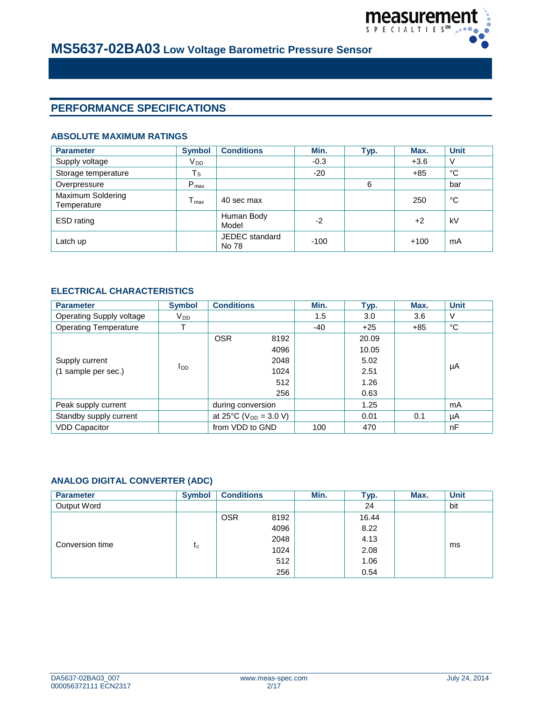

# **PERFORMANCE SPECIFICATIONS**

#### **ABSOLUTE MAXIMUM RATINGS**

| <b>Parameter</b>                 | <b>Symbol</b>    | <b>Conditions</b>       | Min.   | Typ. | Max.   | <b>Unit</b> |
|----------------------------------|------------------|-------------------------|--------|------|--------|-------------|
| Supply voltage                   | V <sub>DD</sub>  |                         | $-0.3$ |      | $+3.6$ | $\vee$      |
| Storage temperature              | $T_{\rm S}$      |                         | $-20$  |      | $+85$  | °C          |
| Overpressure                     | $P_{\text{max}}$ |                         |        | 6    |        | bar         |
| Maximum Soldering<br>Temperature | $T_{\text{max}}$ | 40 sec max              |        |      | 250    | °C          |
| ESD rating                       |                  | Human Body<br>Model     | $-2$   |      | $+2$   | kV          |
| Latch up                         |                  | JEDEC standard<br>No 78 | $-100$ |      | $+100$ | mA          |

#### **ELECTRICAL CHARACTERISTICS**

| <b>Parameter</b>             | <b>Symbol</b>   | <b>Conditions</b>            |      | Min.  | Typ.  | Max.  | <b>Unit</b> |
|------------------------------|-----------------|------------------------------|------|-------|-------|-------|-------------|
| Operating Supply voltage     | $V_{DD}$        |                              |      | 1.5   | 3.0   | 3.6   | V           |
| <b>Operating Temperature</b> | Т               |                              |      | $-40$ | $+25$ | $+85$ | °C          |
|                              |                 | <b>OSR</b>                   | 8192 |       | 20.09 |       |             |
| Supply current               |                 |                              | 4096 |       | 10.05 |       |             |
|                              | l <sub>DD</sub> |                              | 2048 |       | 5.02  |       | μA          |
| (1 sample per sec.)          |                 |                              | 1024 |       | 2.51  |       |             |
|                              |                 |                              | 512  |       | 1.26  |       |             |
|                              |                 |                              | 256  |       | 0.63  |       |             |
| Peak supply current          |                 | during conversion            |      |       | 1.25  |       | mA          |
| Standby supply current       |                 | at 25 °C ( $V_{DD}$ = 3.0 V) |      |       | 0.01  | 0.1   | μA          |
| <b>VDD Capacitor</b>         |                 | from VDD to GND              |      | 100   | 470   |       | nF          |

#### **ANALOG DIGITAL CONVERTER (ADC)**

| <b>Parameter</b> | <b>Symbol</b> | <b>Conditions</b> |      | Min. | Typ.  | Max. | <b>Unit</b> |
|------------------|---------------|-------------------|------|------|-------|------|-------------|
| Output Word      |               |                   |      |      | 24    |      | bit         |
|                  |               | <b>OSR</b>        | 8192 |      | 16.44 |      |             |
|                  |               |                   | 4096 |      | 8.22  |      |             |
|                  |               |                   | 2048 |      | 4.13  |      |             |
| Conversion time  | tc            |                   | 1024 |      | 2.08  |      | ms          |
|                  |               |                   | 512  |      | 1.06  |      |             |
|                  |               |                   | 256  |      | 0.54  |      |             |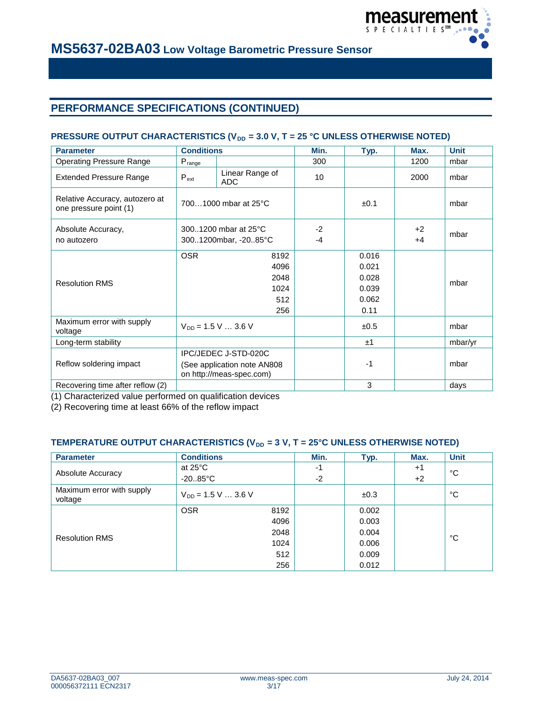

# **PERFORMANCE SPECIFICATIONS (CONTINUED)**

### **PRESSURE OUTPUT CHARACTERISTICS (V<sub>DD</sub> = 3.0 V, T = 25 °C UNLESS OTHERWISE NOTED)**

| <b>Parameter</b>                                         | <b>Conditions</b>           |                          | Min. | Typ.      | Max. | <b>Unit</b> |  |
|----------------------------------------------------------|-----------------------------|--------------------------|------|-----------|------|-------------|--|
| <b>Operating Pressure Range</b>                          | $P_{\text{range}}$          |                          | 300  |           | 1200 | mbar        |  |
| <b>Extended Pressure Range</b>                           | $P_{ext}$                   | Linear Range of<br>ADC   | 10   |           | 2000 | mbar        |  |
| Relative Accuracy, autozero at<br>one pressure point (1) |                             | 7001000 mbar at 25°C     |      | $\pm 0.1$ |      | mbar        |  |
| Absolute Accuracy,                                       | 3001200 mbar at 25°C        |                          | $-2$ |           | $+2$ | mbar        |  |
| no autozero                                              | 3001200mbar, -2085°C        |                          | $-4$ |           | $+4$ |             |  |
|                                                          | <b>OSR</b>                  | 8192                     |      | 0.016     |      |             |  |
|                                                          |                             | 4096                     |      | 0.021     |      |             |  |
| <b>Resolution RMS</b>                                    | 2048                        |                          |      | 0.028     |      | mbar        |  |
|                                                          | 1024                        |                          |      | 0.039     |      |             |  |
|                                                          | 512                         |                          |      | 0.062     |      |             |  |
|                                                          |                             | 256                      |      | 0.11      |      |             |  |
| Maximum error with supply<br>voltage                     |                             | $V_{DD} = 1.5 V  3.6 V$  |      | ±0.5      |      | mbar        |  |
| Long-term stability                                      |                             |                          |      | ±1        |      | mbar/yr     |  |
|                                                          | IPC/JEDEC J-STD-020C        |                          |      |           |      |             |  |
| Reflow soldering impact                                  | (See application note AN808 |                          |      | $-1$      |      | mbar        |  |
|                                                          |                             | on http://meas-spec.com) |      |           |      |             |  |
| Recovering time after reflow (2)                         |                             |                          |      | 3         |      | days        |  |

(1) Characterized value performed on qualification devices

(2) Recovering time at least 66% of the reflow impact

#### TEMPERATURE OUTPUT CHARACTERISTICS (V<sub>DD</sub> = 3 V, T = 25°C UNLESS OTHERWISE NOTED)

| <b>Parameter</b>                     | <b>Conditions</b>       |      | Min. | Typ.  | Max. | <b>Unit</b> |  |
|--------------------------------------|-------------------------|------|------|-------|------|-------------|--|
|                                      | at $25^{\circ}$ C       |      | -1   |       | $+1$ | °C          |  |
| Absolute Accuracy                    | $-20.85^{\circ}$ C      |      | $-2$ |       | $+2$ |             |  |
| Maximum error with supply<br>voltage | $V_{DD} = 1.5 V  3.6 V$ |      |      | ±0.3  |      | °C          |  |
|                                      | <b>OSR</b>              | 8192 |      | 0.002 |      |             |  |
|                                      |                         | 4096 |      | 0.003 |      |             |  |
| <b>Resolution RMS</b>                |                         | 2048 |      | 0.004 |      | °C          |  |
|                                      |                         | 1024 |      | 0.006 |      |             |  |
|                                      |                         | 512  |      | 0.009 |      |             |  |
|                                      |                         | 256  |      | 0.012 |      |             |  |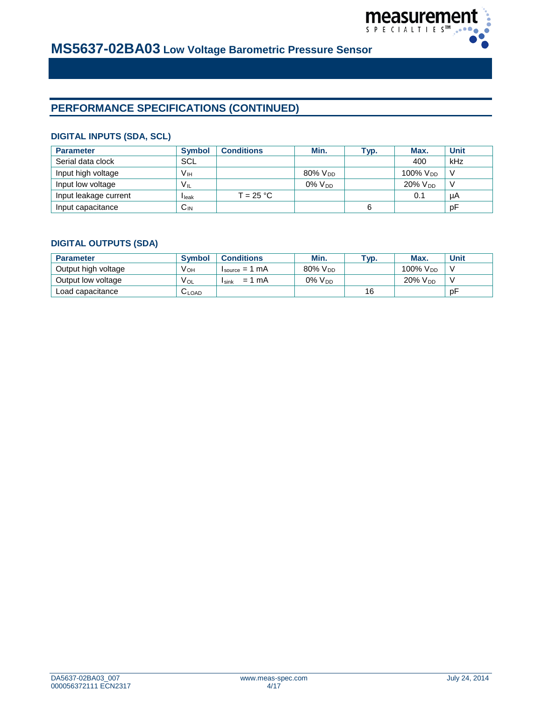

# **PERFORMANCE SPECIFICATIONS (CONTINUED)**

#### **DIGITAL INPUTS (SDA, SCL)**

| <b>Parameter</b>      | <b>Symbol</b>   | <b>Conditions</b> | Min.            | ⊤ур. | Max.            | <b>Unit</b>  |
|-----------------------|-----------------|-------------------|-----------------|------|-----------------|--------------|
| Serial data clock     | <b>SCL</b>      |                   |                 |      | 400             | kHz          |
| Input high voltage    | Vн              |                   | $80\%$ $V_{DD}$ |      | 100% $V_{DD}$   | - V          |
| Input low voltage     | $V_{IL}$        |                   | $0\%$ $V_{DD}$  |      | $20\%$ $V_{DD}$ | $\mathsf{V}$ |
| Input leakage current | <b>I</b> leak   | $T = 25 °C$       |                 |      | 0.1             | μA           |
| Input capacitance     | $C_{\text{IN}}$ |                   |                 | 6    |                 | pF           |

### **DIGITAL OUTPUTS (SDA)**

| <b>Parameter</b>    | <b>Symbol</b> | <b>Conditions</b>                         | Min.                   | TVD. | Max.                 | <b>Unit</b> |
|---------------------|---------------|-------------------------------------------|------------------------|------|----------------------|-------------|
| Output high voltage | V он          | $I_{source} = 1 mA$                       | $80\%$ V <sub>DD</sub> |      | 100% V <sub>DD</sub> |             |
| Output low voltage  | $V_{OL}$      | mA<br>$=$ $\overline{ }$<br><b>I</b> sink | $0\%$ $V_{DD}$         |      | $20\%$ $V_{DD}$      |             |
| Load capacitance    | <b>CLOAD</b>  |                                           |                        | 16   |                      | рF          |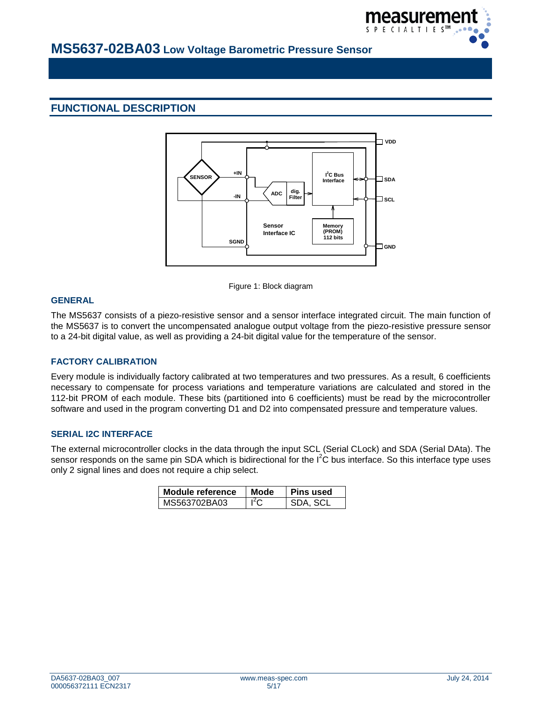

# **FUNCTIONAL DESCRIPTION**



Figure 1: Block diagram

#### **GENERAL**

The MS5637 consists of a piezo-resistive sensor and a sensor interface integrated circuit. The main function of the MS5637 is to convert the uncompensated analogue output voltage from the piezo-resistive pressure sensor to a 24-bit digital value, as well as providing a 24-bit digital value for the temperature of the sensor.

#### **FACTORY CALIBRATION**

Every module is individually factory calibrated at two temperatures and two pressures. As a result, 6 coefficients necessary to compensate for process variations and temperature variations are calculated and stored in the 112-bit PROM of each module. These bits (partitioned into 6 coefficients) must be read by the microcontroller software and used in the program converting D1 and D2 into compensated pressure and temperature values.

#### **SERIAL I2C INTERFACE**

The external microcontroller clocks in the data through the input SCL (Serial CLock) and SDA (Serial DAta). The sensor responds on the same pin SDA which is bidirectional for the  $I^2C$  bus interface. So this interface type uses only 2 signal lines and does not require a chip select.

| Module reference | Mode             | <b>Pins used</b> |
|------------------|------------------|------------------|
| MS563702BA03     | I <sup>2</sup> C | SDA SCI          |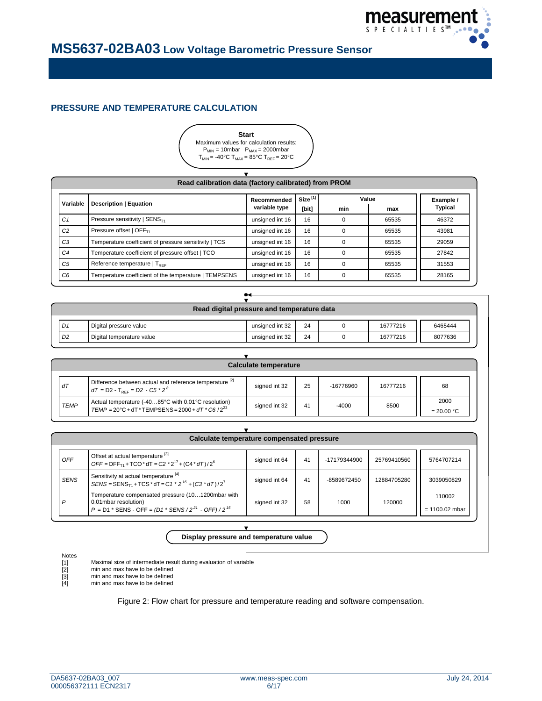

### **PRESSURE AND TEMPERATURE CALCULATION**



#### **Size [1] [bit] min max C1** Pressure sensitivity | SENS<sub>T1</sub> **unsigned int 16 | 16 | 0 | 65535 | 46372** *C2* Pressure offset | OFFT1 unsigned int 16 16 0 65535 43981 *C3* Temperature coefficient of pressure sensitivity | TCS | unsigned int 16 | 16 | 0 | 65535 | 29059 *C4* Temperature coefficient of pressure offset | TCO unsigned int 16 | 16 | 0 | 65535 | 27842 C5 Reference temperature | T<sub>REF</sub> No. 201553 | Unsigned int 16 | 16 | 0 | 65535 | 31553 *C6* Temperature coefficient of the temperature | TEMPSENS | unsigned int 16 | 16 | 0 | 65535 | 28165 **Recommended variable type Description | Equation Variable Example / Read calibration data (factory calibrated) from PROM Typical Value**

| Read digital pressure and temperature data |                           |                 |    |  |          |         |  |  |  |
|--------------------------------------------|---------------------------|-----------------|----|--|----------|---------|--|--|--|
| D1                                         | Digital pressure value    | unsigned int 32 | 24 |  | 16777216 | 6465444 |  |  |  |
| D <sub>2</sub>                             | Digital temperature value | unsigned int 32 | 24 |  | 16777216 | 8077636 |  |  |  |
|                                            |                           |                 |    |  |          |         |  |  |  |

| Calculate temperature                                                                                                                |                                                                                                                  |               |    |           |          |                      |  |  |
|--------------------------------------------------------------------------------------------------------------------------------------|------------------------------------------------------------------------------------------------------------------|---------------|----|-----------|----------|----------------------|--|--|
| dT                                                                                                                                   | Difference between actual and reference temperature <sup>[2]</sup><br>$dT = D2 - T_{\text{per}} = D2 - C5 * 2^8$ | signed int 32 | 25 | -16776960 | 16777216 | 68                   |  |  |
| Actual temperature (-4085°C with 0.01°C resolution)<br><b>TEMP</b><br>$TEMP = 20^{\circ}C + dT * TEMPSENS = 2000 + dT * C6 / 2^{23}$ |                                                                                                                  | signed int 32 | 41 | $-4000$   | 8500     | 2000<br>$= 20.00 °C$ |  |  |

| Calculate temperature compensated pressure                                                                                                                    |               |    |              |             |                            |  |  |  |  |  |
|---------------------------------------------------------------------------------------------------------------------------------------------------------------|---------------|----|--------------|-------------|----------------------------|--|--|--|--|--|
| Offset at actual temperature [3]<br>$OFF = OFF_{T1} + TCO^* dT = C2 * 2^{17} + (C4 * dT)/2^6$                                                                 | signed int 64 | 41 | -17179344900 | 25769410560 | 5764707214                 |  |  |  |  |  |
| Sensitivity at actual temperature <sup>[4]</sup><br>SENS = SENS <sub>T1</sub> + TCS * dT = C1 * 2 <sup>16</sup> + (C3 * dT)/2 <sup>7</sup>                    | signed int 64 | 41 | -8589672450  | 12884705280 | 3039050829                 |  |  |  |  |  |
| Temperature compensated pressure (101200mbar with<br>0.01 mbar resolution)<br>$P = D1$ * SENS - OFF = $(D1$ * SENS / 2 <sup>21</sup> - OFF) / 2 <sup>15</sup> | signed int 32 | 58 | 1000         | 120000      | 110002<br>$= 1100.02$ mbar |  |  |  |  |  |
|                                                                                                                                                               |               |    |              |             |                            |  |  |  |  |  |

#### **Display pressure and temperature value**

#### Notes

Maximal size of intermediate result during evaluation of variable

- [1] [2] min and max have to be defined
- min and max have to be defined
- [3] [4] min and max have to be defined

Figure 2: Flow chart for pressure and temperature reading and software compensation.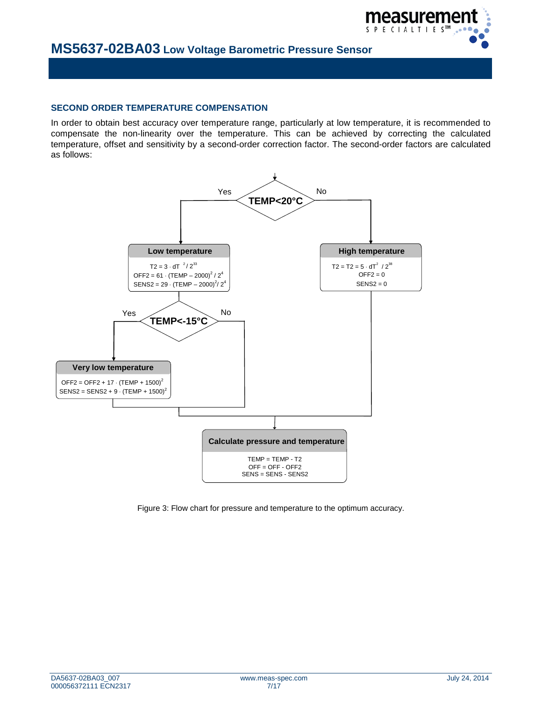

#### **SECOND ORDER TEMPERATURE COMPENSATION**

In order to obtain best accuracy over temperature range, particularly at low temperature, it is recommended to compensate the non-linearity over the temperature. This can be achieved by correcting the calculated temperature, offset and sensitivity by a second-order correction factor. The second-order factors are calculated as follows:



Figure 3: Flow chart for pressure and temperature to the optimum accuracy.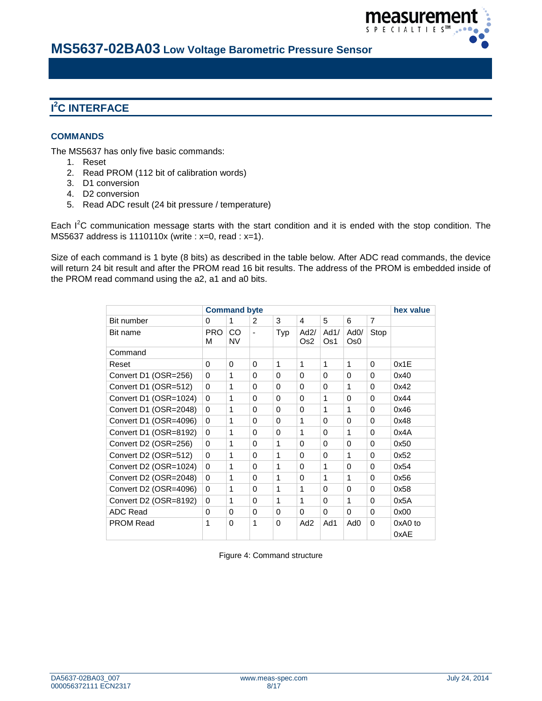

# **I 2 C INTERFACE**

### **COMMANDS**

The MS5637 has only five basic commands:

- 1. Reset
- 2. Read PROM (112 bit of calibration words)
- 3. D1 conversion
- 4. D2 conversion
- 5. Read ADC result (24 bit pressure / temperature)

Each  $I^2C$  communication message starts with the start condition and it is ended with the stop condition. The MS5637 address is 1110110x (write : x=0, read : x=1).

Size of each command is 1 byte (8 bits) as described in the table below. After ADC read commands, the device will return 24 bit result and after the PROM read 16 bit results. The address of the PROM is embedded inside of the PROM read command using the a2, a1 and a0 bits.

|                       | <b>Command byte</b> | hex value |                |          |                 |             |                         |          |                   |
|-----------------------|---------------------|-----------|----------------|----------|-----------------|-------------|-------------------------|----------|-------------------|
| Bit number            | 0                   | 1         | 2              | 3        | 4               | 5           | 6                       | 7        |                   |
| Bit name              | <b>PRO</b><br>M     | CO<br>NV  | $\blacksquare$ | Typ      | Ad2/<br>Os2     | Ad1/<br>Os1 | AdO/<br>Os <sub>0</sub> | Stop     |                   |
| Command               |                     |           |                |          |                 |             |                         |          |                   |
| Reset                 | $\Omega$            | 0         | $\Omega$       | 1        | 1               | 1           | 1                       | 0        | 0x1E              |
| Convert D1 (OSR=256)  | $\Omega$            | 1         | $\Omega$       | $\Omega$ | $\Omega$        | $\Omega$    | $\Omega$                | $\Omega$ | 0x40              |
| Convert D1 (OSR=512)  | $\Omega$            | 1         | $\Omega$       | $\Omega$ | 0               | $\Omega$    | 1                       | 0        | 0x42              |
| Convert D1 (OSR=1024) | $\Omega$            | 1         | $\Omega$       | $\Omega$ | $\Omega$        | 1           | $\Omega$                | $\Omega$ | 0x44              |
| Convert D1 (OSR=2048) | $\Omega$            | 1         | $\Omega$       | $\Omega$ | $\Omega$        | 1           | 1                       | $\Omega$ | 0x46              |
| Convert D1 (OSR=4096) | $\Omega$            | 1         | $\Omega$       | $\Omega$ | 1               | $\Omega$    | $\Omega$                | $\Omega$ | 0x48              |
| Convert D1 (OSR=8192) | $\Omega$            | 1         | $\Omega$       | $\Omega$ | 1               | $\Omega$    | 1                       | $\Omega$ | 0x4A              |
| Convert D2 (OSR=256)  | $\Omega$            | 1         | $\Omega$       | 1        | $\Omega$        | 0           | $\Omega$                | 0        | 0x50              |
| Convert D2 (OSR=512)  | $\Omega$            | 1         | $\Omega$       | 1        | $\Omega$        | $\Omega$    | 1                       | $\Omega$ | 0x52              |
| Convert D2 (OSR=1024) | $\Omega$            | 1         | $\Omega$       | 1        | 0               | 1           | $\Omega$                | 0        | 0x54              |
| Convert D2 (OSR=2048) | $\Omega$            | 1         | $\Omega$       | 1        | $\Omega$        | 1           | 1                       | $\Omega$ | 0x56              |
| Convert D2 (OSR=4096) | $\Omega$            | 1         | $\Omega$       | 1        | 1               | $\Omega$    | $\Omega$                | $\Omega$ | 0x58              |
| Convert D2 (OSR=8192) | 0                   | 1         | $\Omega$       | 1        | 1               | $\Omega$    | 1                       | $\Omega$ | 0x5A              |
| ADC Read              | $\Omega$            | 0         | $\Omega$       | $\Omega$ | $\Omega$        | $\Omega$    | $\Omega$                | $\Omega$ | 0x00              |
| <b>PROM Read</b>      | 1                   | 0         | 1              | $\Omega$ | Ad <sub>2</sub> | Ad1         | Ad0                     | 0        | $0xA0$ to<br>0xAE |

Figure 4: Command structure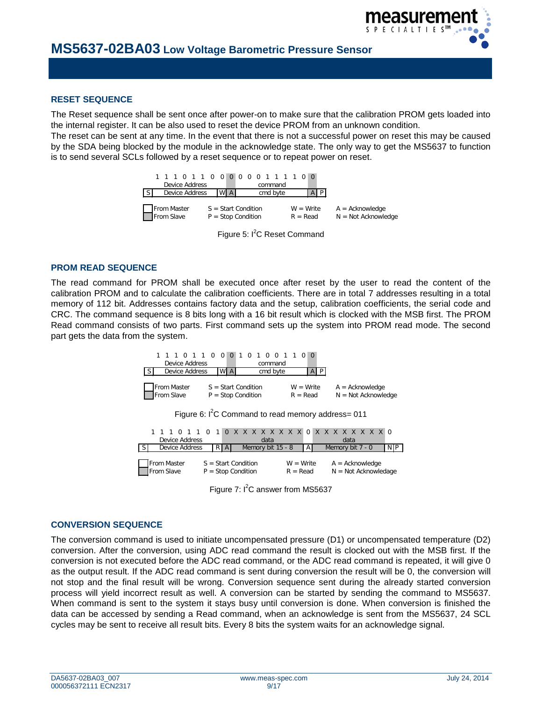

#### **RESET SEQUENCE**

The Reset sequence shall be sent once after power-on to make sure that the calibration PROM gets loaded into the internal register. It can be also used to reset the device PROM from an unknown condition.

The reset can be sent at any time. In the event that there is not a successful power on reset this may be caused by the SDA being blocked by the module in the acknowledge state. The only way to get the MS5637 to function is to send several SCLs followed by a reset sequence or to repeat power on reset.



Figure 5: I<sup>2</sup>C Reset Command

#### **PROM READ SEQUENCE**

The read command for PROM shall be executed once after reset by the user to read the content of the calibration PROM and to calculate the calibration coefficients. There are in total 7 addresses resulting in a total memory of 112 bit. Addresses contains factory data and the setup, calibration coefficients, the serial code and CRC. The command sequence is 8 bits long with a 16 bit result which is clocked with the MSB first. The PROM Read command consists of two parts. First command sets up the system into PROM read mode. The second part gets the data from the system.

| 1 1 1 0 1 1 0 0 0 1 0 1 0 0 1 1 0 0 |                |                       |      |                                               |  |          |  |                           |  |     |  |  |                                            |  |
|-------------------------------------|----------------|-----------------------|------|-----------------------------------------------|--|----------|--|---------------------------|--|-----|--|--|--------------------------------------------|--|
|                                     | Device Address |                       |      |                                               |  | command  |  |                           |  |     |  |  |                                            |  |
|                                     | Device Address |                       | WI A |                                               |  | cmd byte |  |                           |  | l P |  |  |                                            |  |
| From Master<br>From Slave           |                |                       |      | $S = Start Condition$<br>$P = Stop Condition$ |  |          |  | $W = Write$<br>$R = Read$ |  |     |  |  | $A = Acknowledge$<br>$N = Not Acknowledge$ |  |
|                                     |                | $\sim$ $2\sim$ $\sim$ |      |                                               |  |          |  |                           |  |     |  |  |                                            |  |

Figure 6:  $I^2C$  Command to read memory address= 011

| Device Address                                               |  |  |  |  |  |                | data |     |  |  |  |  |                           | data              |  |  |       |  |  |                  |                   |  |                        |  |      |
|--------------------------------------------------------------|--|--|--|--|--|----------------|------|-----|--|--|--|--|---------------------------|-------------------|--|--|-------|--|--|------------------|-------------------|--|------------------------|--|------|
|                                                              |  |  |  |  |  | Device Address |      | RIA |  |  |  |  |                           | Memory bit 15 - 8 |  |  | l A I |  |  | Memory bit 7 - 0 |                   |  |                        |  | N IP |
| From Master<br>$S = Start Condition$<br>$P = Stop Condition$ |  |  |  |  |  |                |      |     |  |  |  |  | $W = Write$<br>$R = Read$ |                   |  |  |       |  |  |                  | $A = Acknowledge$ |  | $N = Not Acknowledage$ |  |      |

Figure  $7:1^2C$  answer from MS5637

#### **CONVERSION SEQUENCE**

The conversion command is used to initiate uncompensated pressure (D1) or uncompensated temperature (D2) conversion. After the conversion, using ADC read command the result is clocked out with the MSB first. If the conversion is not executed before the ADC read command, or the ADC read command is repeated, it will give 0 as the output result. If the ADC read command is sent during conversion the result will be 0, the conversion will not stop and the final result will be wrong. Conversion sequence sent during the already started conversion process will yield incorrect result as well. A conversion can be started by sending the command to MS5637. When command is sent to the system it stays busy until conversion is done. When conversion is finished the data can be accessed by sending a Read command, when an acknowledge is sent from the MS5637, 24 SCL cycles may be sent to receive all result bits. Every 8 bits the system waits for an acknowledge signal.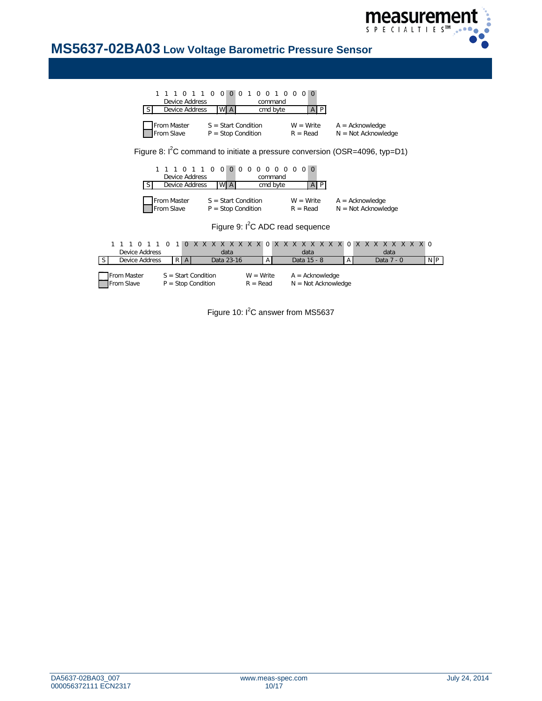

| $\Omega$<br>$\Omega$<br>$\Omega$<br>$\Omega$<br>$\Omega$<br><b>Device Address</b>                                                                     | $\Omega$<br>$\Omega$<br>command              | $\Omega$<br>$\Omega$                       |                                            |     |  |  |  |  |  |  |  |  |
|-------------------------------------------------------------------------------------------------------------------------------------------------------|----------------------------------------------|--------------------------------------------|--------------------------------------------|-----|--|--|--|--|--|--|--|--|
| W A<br><b>Device Address</b><br><sub>S</sub>                                                                                                          | cmd byte                                     | $A$ $P$                                    |                                            |     |  |  |  |  |  |  |  |  |
| From Master<br>$S = Start Condition$<br>From Slave<br>$P = Stop Condition$                                                                            | $W = Write$<br>$R = Read$                    | $A = Acknowledge$<br>$N = Not Acknowledge$ |                                            |     |  |  |  |  |  |  |  |  |
| Figure 8: ${}^{12}$ C command to initiate a pressure conversion (OSR=4096, typ=D1)                                                                    |                                              |                                            |                                            |     |  |  |  |  |  |  |  |  |
|                                                                                                                                                       |                                              |                                            |                                            |     |  |  |  |  |  |  |  |  |
| $\Omega$<br>$\Omega$<br>$\Omega$<br>$\Omega$<br>$\Omega$                                                                                              | $0\quad 0\quad 0\quad 0$<br>$\Omega$         | $\Omega$<br>0 <sup>1</sup><br>$\Omega$     |                                            |     |  |  |  |  |  |  |  |  |
| Device Address                                                                                                                                        | command                                      |                                            |                                            |     |  |  |  |  |  |  |  |  |
| W A<br><b>Device Address</b><br>S                                                                                                                     | cmd byte                                     | $A$ $P$                                    |                                            |     |  |  |  |  |  |  |  |  |
| From Master<br>$S = Start Condition$<br>From Slave<br>$P = Stop Condition$                                                                            |                                              | $W = Write$<br>$R = Read$                  | $A = Acknowledge$<br>$N = Not Acknowledge$ |     |  |  |  |  |  |  |  |  |
|                                                                                                                                                       | Figure 9: I <sup>2</sup> C ADC read sequence |                                            |                                            |     |  |  |  |  |  |  |  |  |
|                                                                                                                                                       |                                              |                                            |                                            |     |  |  |  |  |  |  |  |  |
| x x x x x x<br>$X$ $X$<br>$\Omega$<br>$\Omega$<br>$\Omega$                                                                                            | $\mathsf{X}$<br>X <sub>X</sub><br>$\Omega$   | $X$ $X$<br>X X                             | X X X X X X X X O<br>$\Omega$              |     |  |  |  |  |  |  |  |  |
| <b>Device Address</b><br>data                                                                                                                         |                                              | data                                       | data                                       |     |  |  |  |  |  |  |  |  |
| Data 23-16<br>Device Address<br>RA                                                                                                                    | $\mathsf{A}$                                 | Data 15 - 8                                | $\mathsf{A}$<br>Data 7 - 0                 | N P |  |  |  |  |  |  |  |  |
| From Master<br>$S = Start Condition$<br>$W = Write$<br>$A = Acknowledge$<br>From Slave<br>$N = Not Acknowledge$<br>$P = Stop Condition$<br>$R = Read$ |                                              |                                            |                                            |     |  |  |  |  |  |  |  |  |

Figure 10:  $I^2C$  answer from MS5637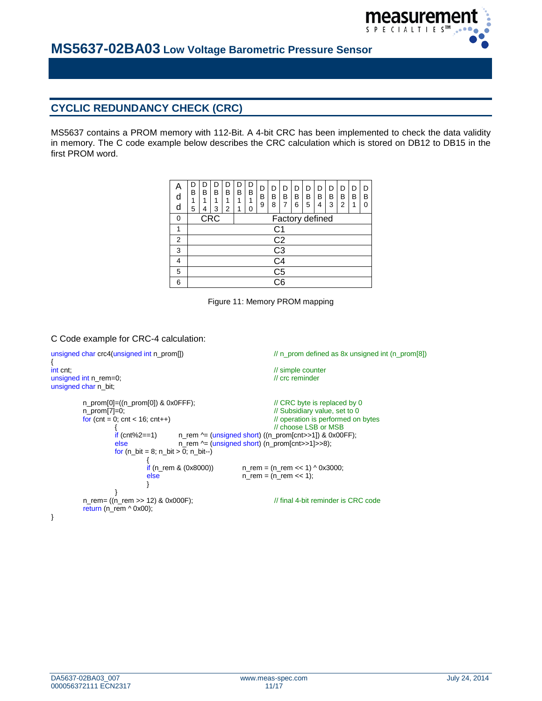

# **CYCLIC REDUNDANCY CHECK (CRC)**

MS5637 contains a PROM memory with 112-Bit. A 4-bit CRC has been implemented to check the data validity in memory. The C code example below describes the CRC calculation which is stored on DB12 to DB15 in the first PROM word.

| d<br>d | B<br>1<br>5                       | B<br>1<br>4 | В<br>1<br>3 | D<br>В<br>1<br>2 | D<br>В<br>1<br>1 | D<br>B<br>1<br>O | D<br>B<br>9 | D<br>В<br>8     | D<br>в | D<br>B<br>6 | D<br>В<br>5 | D<br>В<br>4 | D<br>В<br>3 | D<br>В<br>2 | D<br>В<br>1 | D<br>В<br>ი |
|--------|-----------------------------------|-------------|-------------|------------------|------------------|------------------|-------------|-----------------|--------|-------------|-------------|-------------|-------------|-------------|-------------|-------------|
| 0      | <b>CRC</b><br>Factory defined     |             |             |                  |                  |                  |             |                 |        |             |             |             |             |             |             |             |
| 1      | C1                                |             |             |                  |                  |                  |             |                 |        |             |             |             |             |             |             |             |
| 2      | C <sub>2</sub>                    |             |             |                  |                  |                  |             |                 |        |             |             |             |             |             |             |             |
| 3      |                                   |             |             |                  |                  |                  |             | $\overline{C3}$ |        |             |             |             |             |             |             |             |
| 4      |                                   | C4          |             |                  |                  |                  |             |                 |        |             |             |             |             |             |             |             |
| 5      | C <sub>5</sub>                    |             |             |                  |                  |                  |             |                 |        |             |             |             |             |             |             |             |
| 6      | $\overline{\overline{\text{C6}}}$ |             |             |                  |                  |                  |             |                 |        |             |             |             |             |             |             |             |



#### C Code example for CRC-4 calculation:

```
unsigned char crc4(unsigned int n_prom[]) \qquad \qquad \qquad // n_prom defined as 8x unsigned int (n_prom[8])
int cnt:
                                                                                    \frac{1}{10} simple counter<br>\frac{1}{10} crc reminder
unsigned int n_rem=0;
unsigned char n_bit;
            n_prom[0]=((n_prom[0]) & 0x0FFF); // CRC byte is replaced by 0
            n_prom[7]=0; <br>
for (cnt = 0; cnt < 16; cnt++) <br>
\frac{1}{2} // Subsidiary value, set to 0<br>
\frac{1}{2} operation is performed on
                                                                                    \frac{1}{4} operation is performed on bytes
                        \frac{1}{2} // choose LSB or MSB<br>if (cnt%2==1) n rem \frac{\lambda}{2} (unsigned short) ((n promoterit>>1) & 0x00
                        if (cnt%2==1) n_rem \text{A} = (unsigned short) ((n_prom[cnt>>1]) & 0x00FF);<br>else n_rem \text{A} = (unsigned short) (n_prom[cnt>>1]>>8);
                                                n_rem ^= (unsigned short) (n_prom[cnt>>1]>>8);
                        for (n_bit = 8; n_bit > 0; n_bit -){
                                    if (n_rem & (0x8000)) n_rem = (n_rem << 1) ^ 0x3000;<br>else n_rem = (n_rem << 1);
                                                                        n_rem = (n_rem << 1);
                                    }
                        }
            n_rem= ((n_rem >> 12) & 0x000F); // final 4-bit reminder is CRC code
            return (n_rem ^ 0x00);
}
```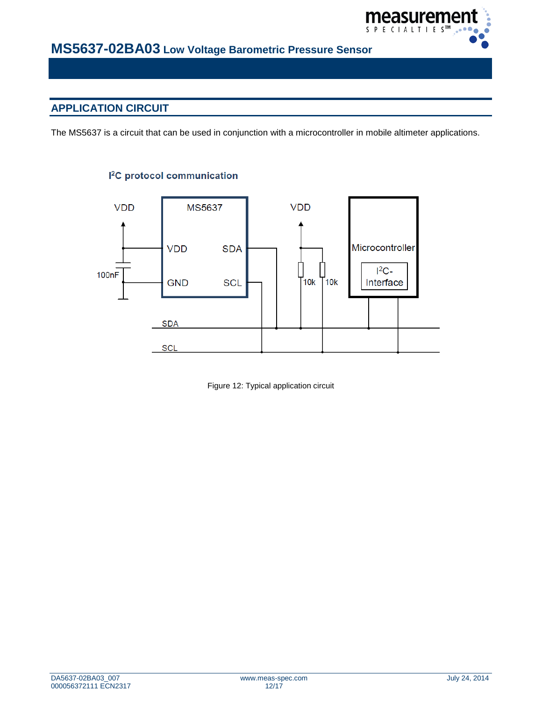

# **APPLICATION CIRCUIT**

The MS5637 is a circuit that can be used in conjunction with a microcontroller in mobile altimeter applications.



### <sup>2</sup>C protocol communication

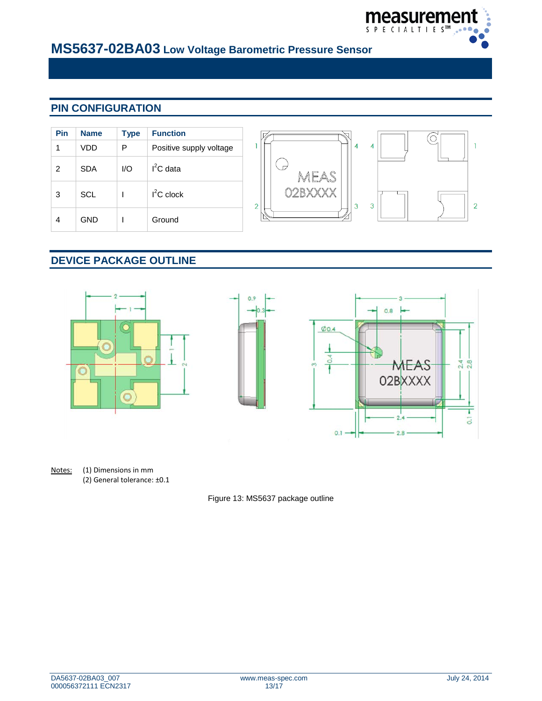

# **PIN CONFIGURATION**

| Pin | <b>Name</b> | <b>Type</b> | <b>Function</b>         |
|-----|-------------|-------------|-------------------------|
| 1   | VDD         | P           | Positive supply voltage |
| 2   | <b>SDA</b>  | 1/O         | $I2C$ data              |
| 3   | <b>SCL</b>  |             | $I^2C$ clock            |
|     | GND         |             | Ground                  |



# **DEVICE PACKAGE OUTLINE**



Notes: (1) Dimensions in mm (2) General tolerance: ±0.1

Figure 13: MS5637 package outline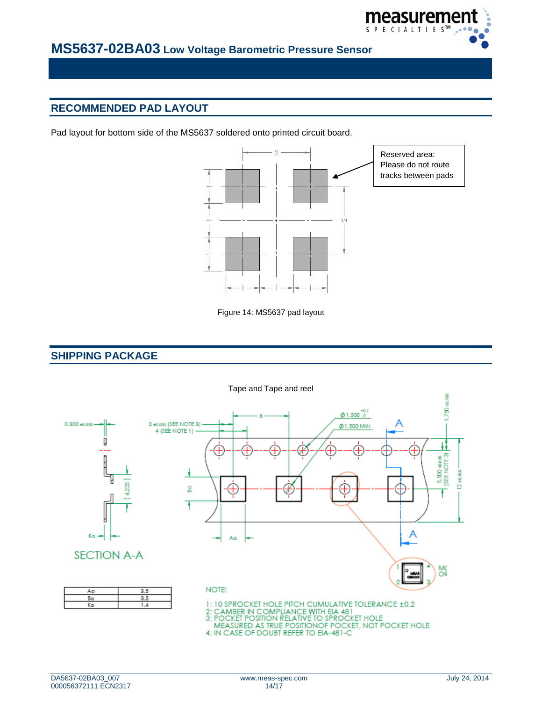

# **RECOMMENDED PAD LAYOUT**

Pad layout for bottom side of the MS5637 soldered onto printed circuit board.



Figure 14: MS5637 pad layout

### **SHIPPING PACKAGE**

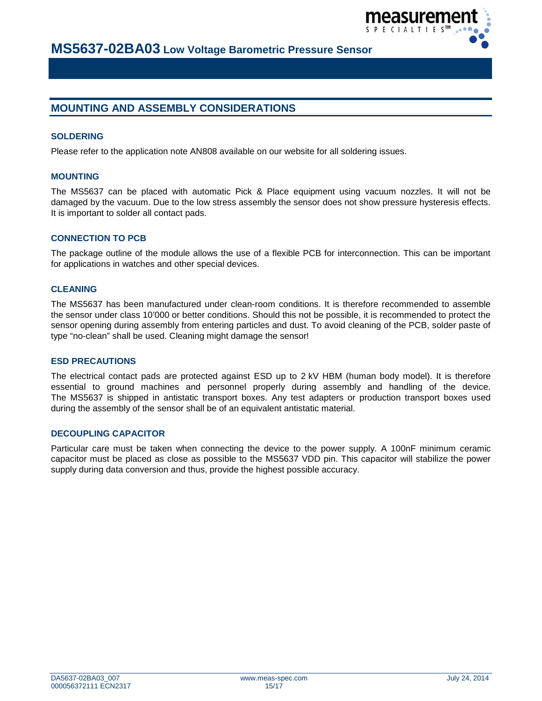

### **MOUNTING AND ASSEMBLY CONSIDERATIONS**

#### **SOLDERING**

Please refer to the application note AN808 available on our website for all soldering issues.

#### **MOUNTING**

The MS5637 can be placed with automatic Pick & Place equipment using vacuum nozzles. It will not be damaged by the vacuum. Due to the low stress assembly the sensor does not show pressure hysteresis effects. It is important to solder all contact pads.

#### **CONNECTION TO PCB**

The package outline of the module allows the use of a flexible PCB for interconnection. This can be important for applications in watches and other special devices.

#### **CLEANING**

The MS5637 has been manufactured under clean-room conditions. It is therefore recommended to assemble the sensor under class 10'000 or better conditions. Should this not be possible, it is recommended to protect the sensor opening during assembly from entering particles and dust. To avoid cleaning of the PCB, solder paste of type "no-clean" shall be used. Cleaning might damage the sensor!

#### **ESD PRECAUTIONS**

The electrical contact pads are protected against ESD up to 2 kV HBM (human body model). It is therefore essential to ground machines and personnel properly during assembly and handling of the device. The MS5637 is shipped in antistatic transport boxes. Any test adapters or production transport boxes used during the assembly of the sensor shall be of an equivalent antistatic material.

#### **DECOUPLING CAPACITOR**

Particular care must be taken when connecting the device to the power supply. A 100nF minimum ceramic capacitor must be placed as close as possible to the MS5637 VDD pin. This capacitor will stabilize the power supply during data conversion and thus, provide the highest possible accuracy.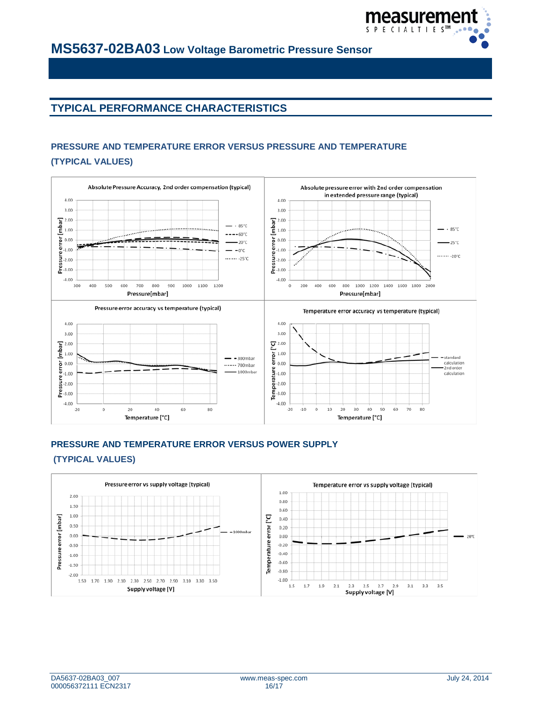

# **TYPICAL PERFORMANCE CHARACTERISTICS**

### **PRESSURE AND TEMPERATURE ERROR VERSUS PRESSURE AND TEMPERATURE (TYPICAL VALUES)**



### **PRESSURE AND TEMPERATURE ERROR VERSUS POWER SUPPLY (TYPICAL VALUES)**